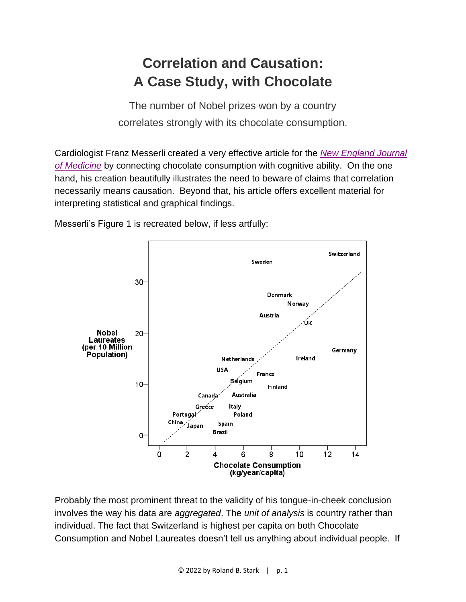## **Correlation and Causation: A Case Study, with Chocolate**

The number of Nobel prizes won by a country correlates strongly with its chocolate consumption.

Cardiologist Franz Messerli created a very effective article for the *[New England Journal](http://www.nejm.org/doi/full/10.1056/NEJMon1211064)  [of Medicine](http://www.nejm.org/doi/full/10.1056/NEJMon1211064)* by connecting chocolate consumption with cognitive ability. On the one hand, his creation beautifully illustrates the need to beware of claims that correlation necessarily means causation. Beyond that, his article offers excellent material for interpreting statistical and graphical findings.

Messerli's Figure 1 is recreated below, if less artfully:



Probably the most prominent threat to the validity of his tongue-in-cheek conclusion involves the way his data are *aggregated*. The *unit of analysis* is country rather than individual. The fact that Switzerland is highest per capita on both Chocolate Consumption and Nobel Laureates doesn't tell us anything about individual people. If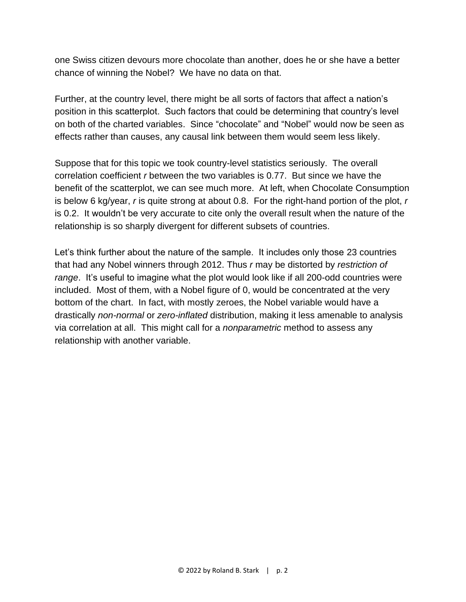one Swiss citizen devours more chocolate than another, does he or she have a better chance of winning the Nobel? We have no data on that.

Further, at the country level, there might be all sorts of factors that affect a nation's position in this scatterplot. Such factors that could be determining that country's level on both of the charted variables. Since "chocolate" and "Nobel" would now be seen as effects rather than causes, any causal link between them would seem less likely.

Suppose that for this topic we took country-level statistics seriously. The overall correlation coefficient *r* between the two variables is 0.77. But since we have the benefit of the scatterplot, we can see much more. At left, when Chocolate Consumption is below 6 kg/year, *r* is quite strong at about 0.8. For the right-hand portion of the plot, *r* is 0.2. It wouldn't be very accurate to cite only the overall result when the nature of the relationship is so sharply divergent for different subsets of countries.

Let's think further about the nature of the sample. It includes only those 23 countries that had any Nobel winners through 2012. Thus *r* may be distorted by *restriction of range*. It's useful to imagine what the plot would look like if all 200-odd countries were included. Most of them, with a Nobel figure of 0, would be concentrated at the very bottom of the chart. In fact, with mostly zeroes, the Nobel variable would have a drastically *non-normal* or *zero-inflated* distribution, making it less amenable to analysis via correlation at all. This might call for a *nonparametric* method to assess any relationship with another variable.